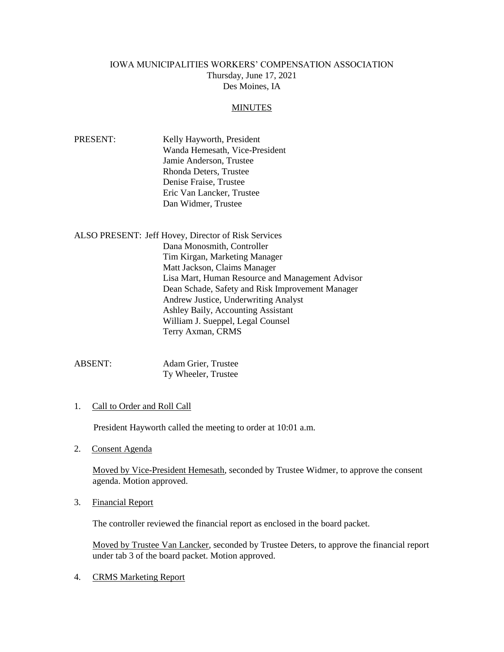## IOWA MUNICIPALITIES WORKERS' COMPENSATION ASSOCIATION Thursday, June 17, 2021 Des Moines, IA

#### MINUTES

| PRESENT: | Kelly Hayworth, President      |
|----------|--------------------------------|
|          | Wanda Hemesath, Vice-President |
|          | Jamie Anderson, Trustee        |
|          | Rhonda Deters, Trustee         |
|          | Denise Fraise, Trustee         |
|          | Eric Van Lancker, Trustee      |
|          | Dan Widmer, Trustee            |

ALSO PRESENT: Jeff Hovey, Director of Risk Services Dana Monosmith, Controller Tim Kirgan, Marketing Manager Matt Jackson, Claims Manager Lisa Mart, Human Resource and Management Advisor Dean Schade, Safety and Risk Improvement Manager Andrew Justice, Underwriting Analyst Ashley Baily, Accounting Assistant William J. Sueppel, Legal Counsel Terry Axman, CRMS

ABSENT: Adam Grier, Trustee Ty Wheeler, Trustee

1. Call to Order and Roll Call

President Hayworth called the meeting to order at 10:01 a.m.

2. Consent Agenda

Moved by Vice-President Hemesath, seconded by Trustee Widmer, to approve the consent agenda. Motion approved.

3. Financial Report

The controller reviewed the financial report as enclosed in the board packet.

Moved by Trustee Van Lancker, seconded by Trustee Deters, to approve the financial report under tab 3 of the board packet. Motion approved.

4. CRMS Marketing Report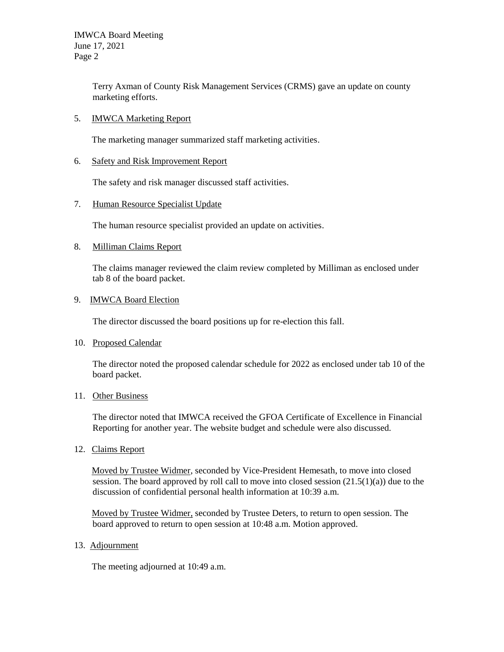Terry Axman of County Risk Management Services (CRMS) gave an update on county marketing efforts.

### 5. IMWCA Marketing Report

The marketing manager summarized staff marketing activities.

# 6. Safety and Risk Improvement Report

The safety and risk manager discussed staff activities.

## 7. Human Resource Specialist Update

The human resource specialist provided an update on activities.

## 8. Milliman Claims Report

The claims manager reviewed the claim review completed by Milliman as enclosed under tab 8 of the board packet.

## 9. IMWCA Board Election

The director discussed the board positions up for re-election this fall.

#### 10. Proposed Calendar

The director noted the proposed calendar schedule for 2022 as enclosed under tab 10 of the board packet.

# 11. Other Business

The director noted that IMWCA received the GFOA Certificate of Excellence in Financial Reporting for another year. The website budget and schedule were also discussed.

12. Claims Report

Moved by Trustee Widmer, seconded by Vice-President Hemesath, to move into closed session. The board approved by roll call to move into closed session  $(21.5(1)(a))$  due to the discussion of confidential personal health information at 10:39 a.m.

Moved by Trustee Widmer, seconded by Trustee Deters, to return to open session. The board approved to return to open session at 10:48 a.m. Motion approved.

#### 13. Adjournment

The meeting adjourned at 10:49 a.m.